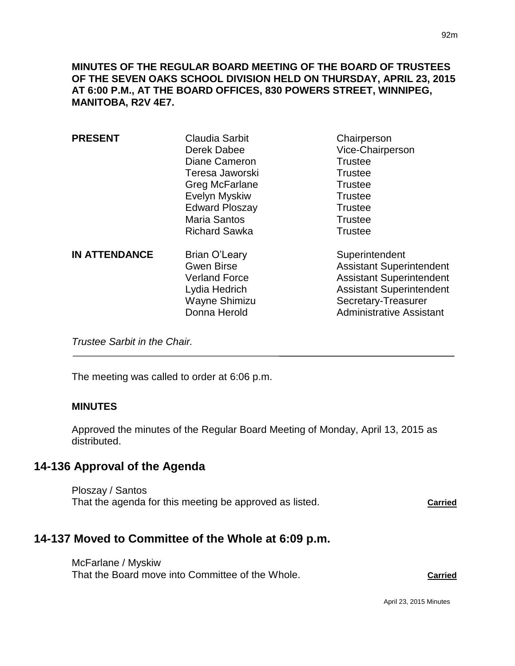**MINUTES OF THE REGULAR BOARD MEETING OF THE BOARD OF TRUSTEES OF THE SEVEN OAKS SCHOOL DIVISION HELD ON THURSDAY, APRIL 23, 2015 AT 6:00 P.M., AT THE BOARD OFFICES, 830 POWERS STREET, WINNIPEG, MANITOBA, R2V 4E7.**

| <b>PRESENT</b>       | <b>Claudia Sarbit</b><br>Derek Dabee<br>Diane Cameron<br>Teresa Jaworski                                     | Chairperson<br>Vice-Chairperson<br><b>Trustee</b><br><b>Trustee</b>                                                                                                               |
|----------------------|--------------------------------------------------------------------------------------------------------------|-----------------------------------------------------------------------------------------------------------------------------------------------------------------------------------|
|                      | Greg McFarlane<br>Evelyn Myskiw<br><b>Edward Ploszay</b><br><b>Maria Santos</b><br><b>Richard Sawka</b>      | <b>Trustee</b><br><b>Trustee</b><br><b>Trustee</b><br><b>Trustee</b><br><b>Trustee</b>                                                                                            |
| <b>IN ATTENDANCE</b> | Brian O'Leary<br><b>Gwen Birse</b><br><b>Verland Force</b><br>Lydia Hedrich<br>Wayne Shimizu<br>Donna Herold | Superintendent<br><b>Assistant Superintendent</b><br><b>Assistant Superintendent</b><br><b>Assistant Superintendent</b><br>Secretary-Treasurer<br><b>Administrative Assistant</b> |

*Trustee Sarbit in the Chair.* 

The meeting was called to order at 6:06 p.m.

#### **MINUTES**

Approved the minutes of the Regular Board Meeting of Monday, April 13, 2015 as distributed.

## **14-136 Approval of the Agenda**

Ploszay / Santos That the agenda for this meeting be approved as listed. **Carried** 

# **14-137 Moved to Committee of the Whole at 6:09 p.m.**

McFarlane / Myskiw That the Board move into Committee of the Whole. **Carried**

April 23, 2015 Minutes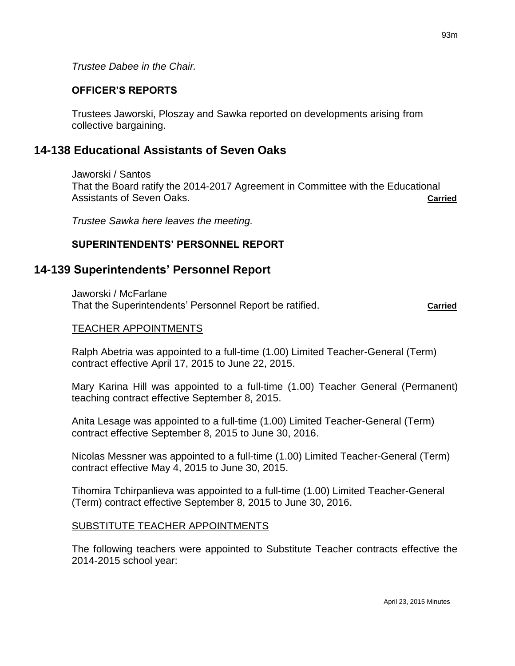*Trustee Dabee in the Chair.*

## **OFFICER'S REPORTS**

Trustees Jaworski, Ploszay and Sawka reported on developments arising from collective bargaining.

# **14-138 Educational Assistants of Seven Oaks**

Jaworski / Santos That the Board ratify the 2014-2017 Agreement in Committee with the Educational Assistants of Seven Oaks. **Carried**

*Trustee Sawka here leaves the meeting.*

## **SUPERINTENDENTS' PERSONNEL REPORT**

# **14-139 Superintendents' Personnel Report**

Jaworski / McFarlane That the Superintendents' Personnel Report be ratified. **Carried**

#### TEACHER APPOINTMENTS

Ralph Abetria was appointed to a full-time (1.00) Limited Teacher-General (Term) contract effective April 17, 2015 to June 22, 2015.

Mary Karina Hill was appointed to a full-time (1.00) Teacher General (Permanent) teaching contract effective September 8, 2015.

Anita Lesage was appointed to a full-time (1.00) Limited Teacher-General (Term) contract effective September 8, 2015 to June 30, 2016.

Nicolas Messner was appointed to a full-time (1.00) Limited Teacher-General (Term) contract effective May 4, 2015 to June 30, 2015.

Tihomira Tchirpanlieva was appointed to a full-time (1.00) Limited Teacher-General (Term) contract effective September 8, 2015 to June 30, 2016.

#### SUBSTITUTE TEACHER APPOINTMENTS

The following teachers were appointed to Substitute Teacher contracts effective the 2014-2015 school year: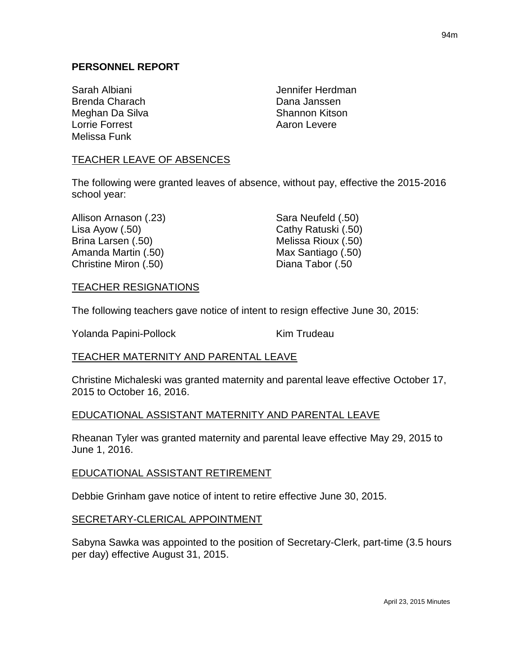Sarah Albiani **Jennifer Herdman** Brenda Charach **Dana Janssen** Meghan Da Silva Shannon Kitson Lorrie Forrest **Aaron Levere** Aaron Levere Melissa Funk

## TEACHER LEAVE OF ABSENCES

The following were granted leaves of absence, without pay, effective the 2015-2016 school year:

| Allison Arnason (.23) | Sara Neufeld (.50)  |
|-----------------------|---------------------|
| Lisa Ayow $(.50)$     | Cathy Ratuski (.50) |
| Brina Larsen (.50)    | Melissa Rioux (.50) |
| Amanda Martin (.50)   | Max Santiago (.50)  |
| Christine Miron (.50) | Diana Tabor (.50    |

#### TEACHER RESIGNATIONS

The following teachers gave notice of intent to resign effective June 30, 2015:

Yolanda Papini-Pollock Kim Trudeau

### TEACHER MATERNITY AND PARENTAL LEAVE

Christine Michaleski was granted maternity and parental leave effective October 17, 2015 to October 16, 2016.

### EDUCATIONAL ASSISTANT MATERNITY AND PARENTAL LEAVE

Rheanan Tyler was granted maternity and parental leave effective May 29, 2015 to June 1, 2016.

#### EDUCATIONAL ASSISTANT RETIREMENT

Debbie Grinham gave notice of intent to retire effective June 30, 2015.

### SECRETARY-CLERICAL APPOINTMENT

Sabyna Sawka was appointed to the position of Secretary-Clerk, part-time (3.5 hours per day) effective August 31, 2015.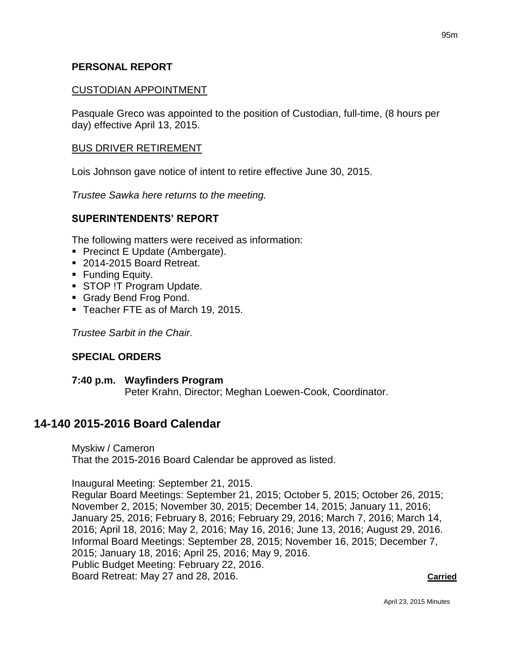#### **PERSONAL REPORT**

#### CUSTODIAN APPOINTMENT

Pasquale Greco was appointed to the position of Custodian, full-time, (8 hours per day) effective April 13, 2015.

#### BUS DRIVER RETIREMENT

Lois Johnson gave notice of intent to retire effective June 30, 2015.

*Trustee Sawka here returns to the meeting.*

#### **SUPERINTENDENTS' REPORT**

The following matters were received as information:

- **Precinct E Update (Ambergate).**
- 2014-2015 Board Retreat.
- **Funding Equity.**
- **STOP !T Program Update.**
- Grady Bend Frog Pond.
- Teacher FTE as of March 19, 2015.

*Trustee Sarbit in the Chair.*

### **SPECIAL ORDERS**

## **7:40 p.m. Wayfinders Program** Peter Krahn, Director; Meghan Loewen-Cook, Coordinator.

## **14-140 2015-2016 Board Calendar**

Myskiw / Cameron That the 2015-2016 Board Calendar be approved as listed.

Inaugural Meeting: September 21, 2015.

Regular Board Meetings: September 21, 2015; October 5, 2015; October 26, 2015; November 2, 2015; November 30, 2015; December 14, 2015; January 11, 2016; January 25, 2016; February 8, 2016; February 29, 2016; March 7, 2016; March 14, 2016; April 18, 2016; May 2, 2016; May 16, 2016; June 13, 2016; August 29, 2016. Informal Board Meetings: September 28, 2015; November 16, 2015; December 7, 2015; January 18, 2016; April 25, 2016; May 9, 2016. Public Budget Meeting: February 22, 2016. Board Retreat: May 27 and 28, 2016. **Carried**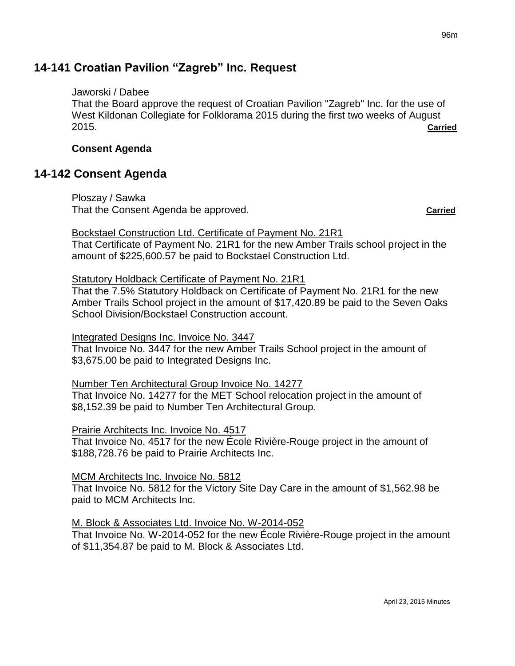# **14-141 Croatian Pavilion "Zagreb" Inc. Request**

### Jaworski / Dabee

That the Board approve the request of Croatian Pavilion "Zagreb" Inc. for the use of West Kildonan Collegiate for Folklorama 2015 during the first two weeks of August 2015. **Carried**

## **Consent Agenda**

# **14-142 Consent Agenda**

Ploszay / Sawka That the Consent Agenda be approved. **Carried**

## Bockstael Construction Ltd. Certificate of Payment No. 21R1

That Certificate of Payment No. 21R1 for the new Amber Trails school project in the amount of \$225,600.57 be paid to Bockstael Construction Ltd.

## Statutory Holdback Certificate of Payment No. 21R1

That the 7.5% Statutory Holdback on Certificate of Payment No. 21R1 for the new Amber Trails School project in the amount of \$17,420.89 be paid to the Seven Oaks School Division/Bockstael Construction account.

#### Integrated Designs Inc. Invoice No. 3447

That Invoice No. 3447 for the new Amber Trails School project in the amount of \$3,675.00 be paid to Integrated Designs Inc.

### Number Ten Architectural Group Invoice No. 14277

That Invoice No. 14277 for the MET School relocation project in the amount of \$8,152.39 be paid to Number Ten Architectural Group.

### Prairie Architects Inc. Invoice No. 4517

That Invoice No. 4517 for the new École Rivière-Rouge project in the amount of \$188,728.76 be paid to Prairie Architects Inc.

### MCM Architects Inc. Invoice No. 5812

That Invoice No. 5812 for the Victory Site Day Care in the amount of \$1,562.98 be paid to MCM Architects Inc.

### M. Block & Associates Ltd. Invoice No. W-2014-052

That Invoice No. W-2014-052 for the new École Rivière-Rouge project in the amount of \$11,354.87 be paid to M. Block & Associates Ltd.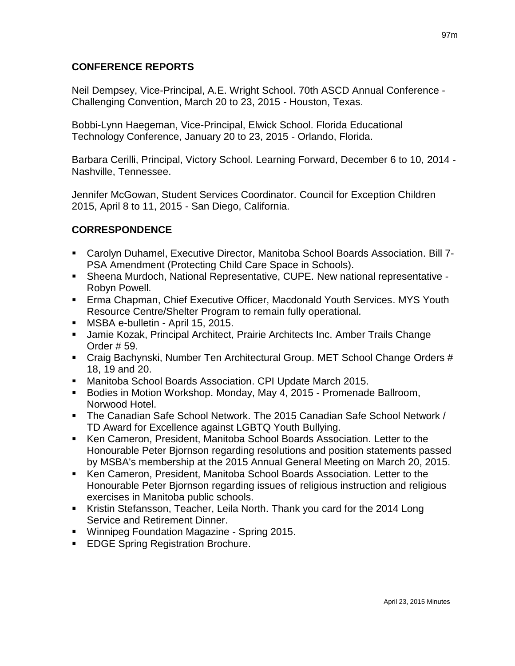## **CONFERENCE REPORTS**

Neil Dempsey, Vice-Principal, A.E. Wright School. 70th ASCD Annual Conference - Challenging Convention, March 20 to 23, 2015 - Houston, Texas.

Bobbi-Lynn Haegeman, Vice-Principal, Elwick School. Florida Educational Technology Conference, January 20 to 23, 2015 - Orlando, Florida.

Barbara Cerilli, Principal, Victory School. Learning Forward, December 6 to 10, 2014 - Nashville, Tennessee.

Jennifer McGowan, Student Services Coordinator. Council for Exception Children 2015, April 8 to 11, 2015 - San Diego, California.

## **CORRESPONDENCE**

- Carolyn Duhamel, Executive Director, Manitoba School Boards Association. Bill 7- PSA Amendment (Protecting Child Care Space in Schools).
- Sheena Murdoch, National Representative, CUPE. New national representative Robyn Powell.
- Erma Chapman, Chief Executive Officer, Macdonald Youth Services. MYS Youth Resource Centre/Shelter Program to remain fully operational.
- **MSBA e-bulletin April 15, 2015.**
- Jamie Kozak, Principal Architect, Prairie Architects Inc. Amber Trails Change Order # 59.
- Craig Bachynski, Number Ten Architectural Group. MET School Change Orders # 18, 19 and 20.
- Manitoba School Boards Association. CPI Update March 2015.
- Bodies in Motion Workshop. Monday, May 4, 2015 Promenade Ballroom, Norwood Hotel.
- The Canadian Safe School Network. The 2015 Canadian Safe School Network / TD Award for Excellence against LGBTQ Youth Bullying.
- Ken Cameron, President, Manitoba School Boards Association. Letter to the Honourable Peter Bjornson regarding resolutions and position statements passed by MSBA's membership at the 2015 Annual General Meeting on March 20, 2015.
- Ken Cameron, President, Manitoba School Boards Association. Letter to the Honourable Peter Bjornson regarding issues of religious instruction and religious exercises in Manitoba public schools.
- Kristin Stefansson, Teacher, Leila North. Thank you card for the 2014 Long Service and Retirement Dinner.
- **Winnipeg Foundation Magazine Spring 2015.**
- **EDGE Spring Registration Brochure.**